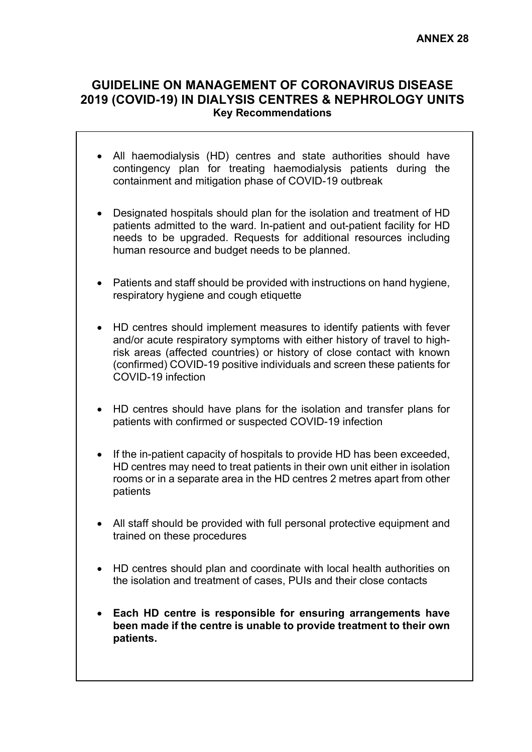# **GUIDELINE ON MANAGEMENT OF CORONAVIRUS DISEASE 2019 (COVID-19) IN DIALYSIS CENTRES & NEPHROLOGY UNITS Key Recommendations**

- All haemodialysis (HD) centres and state authorities should have contingency plan for treating haemodialysis patients during the containment and mitigation phase of COVID-19 outbreak
- Designated hospitals should plan for the isolation and treatment of HD patients admitted to the ward. In-patient and out-patient facility for HD needs to be upgraded. Requests for additional resources including human resource and budget needs to be planned.
- Patients and staff should be provided with instructions on hand hygiene, respiratory hygiene and cough etiquette
- HD centres should implement measures to identify patients with fever and/or acute respiratory symptoms with either history of travel to highrisk areas (affected countries) or history of close contact with known (confirmed) COVID-19 positive individuals and screen these patients for COVID-19 infection
- HD centres should have plans for the isolation and transfer plans for patients with confirmed or suspected COVID-19 infection
- If the in-patient capacity of hospitals to provide HD has been exceeded, HD centres may need to treat patients in their own unit either in isolation rooms or in a separate area in the HD centres 2 metres apart from other patients
- All staff should be provided with full personal protective equipment and trained on these procedures
- HD centres should plan and coordinate with local health authorities on the isolation and treatment of cases, PUIs and their close contacts
- **Each HD centre is responsible for ensuring arrangements have been made if the centre is unable to provide treatment to their own patients.**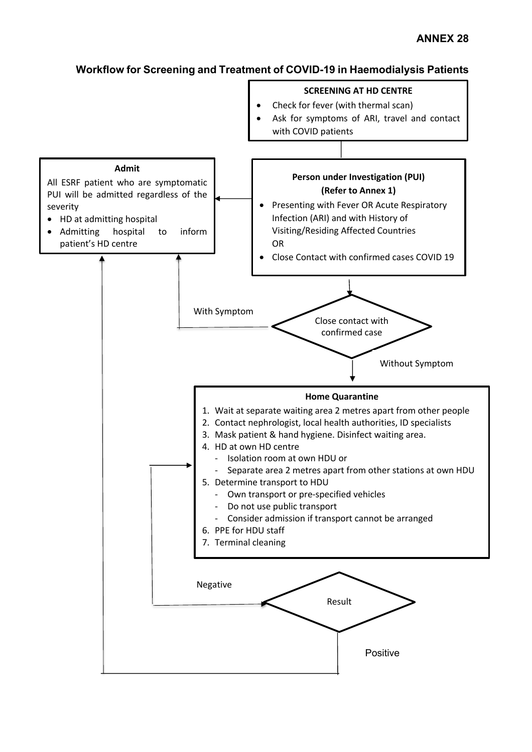### **Workflow for Screening and Treatment of COVID-19 in Haemodialysis Patients**

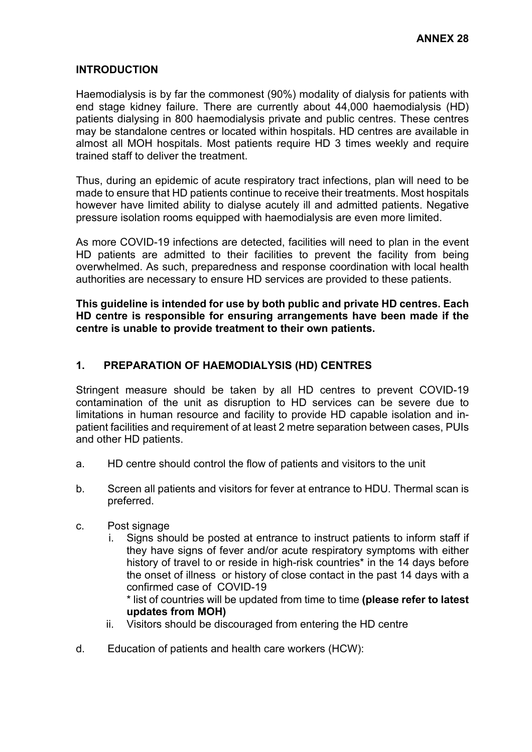### **INTRODUCTION**

Haemodialysis is by far the commonest (90%) modality of dialysis for patients with end stage kidney failure. There are currently about 44,000 haemodialysis (HD) patients dialysing in 800 haemodialysis private and public centres. These centres may be standalone centres or located within hospitals. HD centres are available in almost all MOH hospitals. Most patients require HD 3 times weekly and require trained staff to deliver the treatment.

Thus, during an epidemic of acute respiratory tract infections, plan will need to be made to ensure that HD patients continue to receive their treatments. Most hospitals however have limited ability to dialyse acutely ill and admitted patients. Negative pressure isolation rooms equipped with haemodialysis are even more limited.

As more COVID-19 infections are detected, facilities will need to plan in the event HD patients are admitted to their facilities to prevent the facility from being overwhelmed. As such, preparedness and response coordination with local health authorities are necessary to ensure HD services are provided to these patients.

**This guideline is intended for use by both public and private HD centres. Each HD centre is responsible for ensuring arrangements have been made if the centre is unable to provide treatment to their own patients.**

### **1. PREPARATION OF HAEMODIALYSIS (HD) CENTRES**

Stringent measure should be taken by all HD centres to prevent COVID-19 contamination of the unit as disruption to HD services can be severe due to limitations in human resource and facility to provide HD capable isolation and inpatient facilities and requirement of at least 2 metre separation between cases, PUIs and other HD patients.

- a. HD centre should control the flow of patients and visitors to the unit
- b. Screen all patients and visitors for fever at entrance to HDU. Thermal scan is preferred.
- c. Post signage
	- i. Signs should be posted at entrance to instruct patients to inform staff if they have signs of fever and/or acute respiratory symptoms with either history of travel to or reside in high-risk countries\* in the 14 days before the onset of illness or history of close contact in the past 14 days with a confirmed case of COVID-19

\* list of countries will be updated from time to time **(please refer to latest updates from MOH)**

- ii. Visitors should be discouraged from entering the HD centre
- d. Education of patients and health care workers (HCW):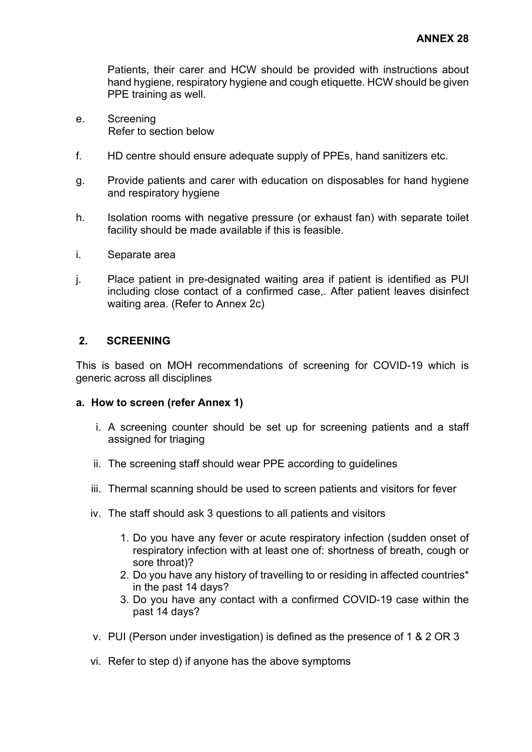Patients, their carer and HCW should be provided with instructions about hand hygiene, respiratory hygiene and cough etiquette. HCW should be given PPE training as well.

- e. Screening Refer to section below
- f. HD centre should ensure adequate supply of PPEs, hand sanitizers etc.
- g. Provide patients and carer with education on disposables for hand hygiene and respiratory hygiene
- h. Isolation rooms with negative pressure (or exhaust fan) with separate toilet facility should be made available if this is feasible.
- i. Separate area
- j. Place patient in pre-designated waiting area if patient is identified as PUI including close contact of a confirmed case,. After patient leaves disinfect waiting area. (Refer to Annex 2c)

### **2. SCREENING**

This is based on MOH recommendations of screening for COVID-19 which is generic across all disciplines

#### **a. How to screen (refer Annex 1)**

- i. A screening counter should be set up for screening patients and a staff assigned for triaging
- ii. The screening staff should wear PPE according to guidelines
- iii. Thermal scanning should be used to screen patients and visitors for fever
- iv. The staff should ask 3 questions to all patients and visitors
	- 1. Do you have any fever or acute respiratory infection (sudden onset of respiratory infection with at least one of: shortness of breath, cough or sore throat)?
	- 2. Do you have any history of travelling to or residing in affected countries\* in the past 14 days?
	- 3. Do you have any contact with a confirmed COVID-19 case within the past 14 days?
- v. PUI (Person under investigation) is defined as the presence of 1 & 2 OR 3
- vi. Refer to step d) if anyone has the above symptoms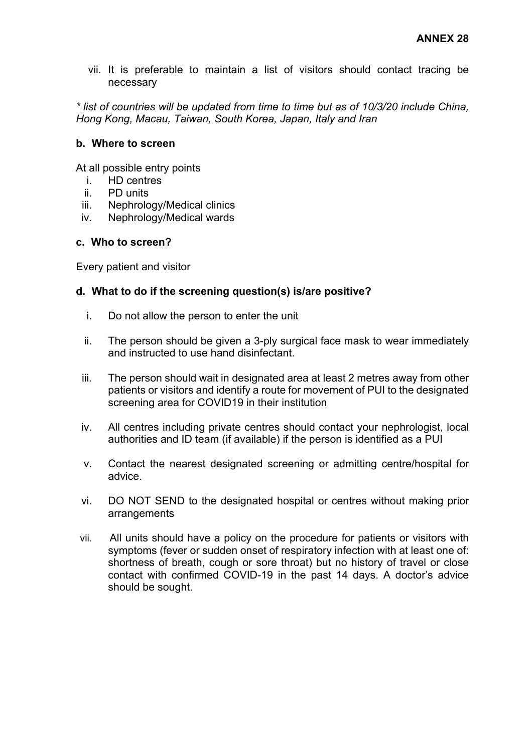vii. It is preferable to maintain a list of visitors should contact tracing be necessary

*\* list of countries will be updated from time to time but as of 10/3/20 include China, Hong Kong, Macau, Taiwan, South Korea, Japan, Italy and Iran*

### **b. Where to screen**

At all possible entry points

- i. HD centres
- ii. PD units
- iii. Nephrology/Medical clinics
- iv. Nephrology/Medical wards

### **c. Who to screen?**

Every patient and visitor

### **d. What to do if the screening question(s) is/are positive?**

- i. Do not allow the person to enter the unit
- ii. The person should be given a 3-ply surgical face mask to wear immediately and instructed to use hand disinfectant.
- iii. The person should wait in designated area at least 2 metres away from other patients or visitors and identify a route for movement of PUI to the designated screening area for COVID19 in their institution
- iv. All centres including private centres should contact your nephrologist, local authorities and ID team (if available) if the person is identified as a PUI
- v. Contact the nearest designated screening or admitting centre/hospital for advice.
- vi. DO NOT SEND to the designated hospital or centres without making prior arrangements
- vii. All units should have a policy on the procedure for patients or visitors with symptoms (fever or sudden onset of respiratory infection with at least one of: shortness of breath, cough or sore throat) but no history of travel or close contact with confirmed COVID-19 in the past 14 days. A doctor's advice should be sought.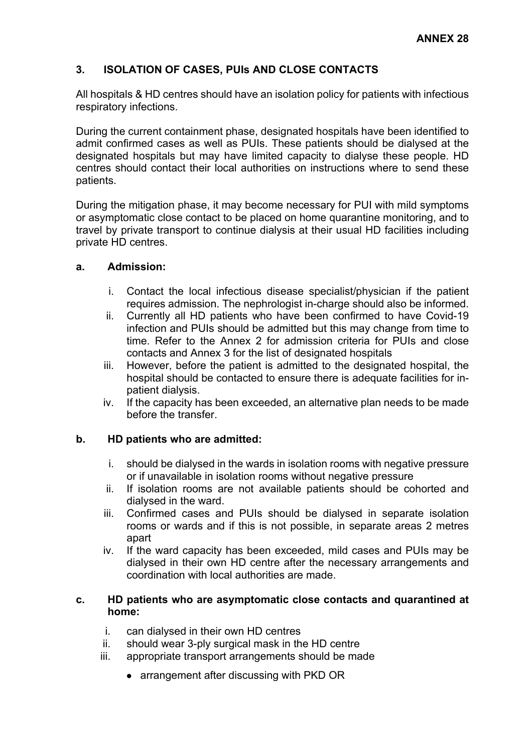### **3. ISOLATION OF CASES, PUIs AND CLOSE CONTACTS**

All hospitals & HD centres should have an isolation policy for patients with infectious respiratory infections.

During the current containment phase, designated hospitals have been identified to admit confirmed cases as well as PUIs. These patients should be dialysed at the designated hospitals but may have limited capacity to dialyse these people. HD centres should contact their local authorities on instructions where to send these patients.

During the mitigation phase, it may become necessary for PUI with mild symptoms or asymptomatic close contact to be placed on home quarantine monitoring, and to travel by private transport to continue dialysis at their usual HD facilities including private HD centres.

### **a. Admission:**

- i. Contact the local infectious disease specialist/physician if the patient requires admission. The nephrologist in-charge should also be informed.
- ii. Currently all HD patients who have been confirmed to have Covid-19 infection and PUIs should be admitted but this may change from time to time. Refer to the Annex 2 for admission criteria for PUIs and close contacts and Annex 3 for the list of designated hospitals
- iii. However, before the patient is admitted to the designated hospital, the hospital should be contacted to ensure there is adequate facilities for inpatient dialysis.
- iv. If the capacity has been exceeded, an alternative plan needs to be made before the transfer.

### **b. HD patients who are admitted:**

- i. should be dialysed in the wards in isolation rooms with negative pressure or if unavailable in isolation rooms without negative pressure
- ii. If isolation rooms are not available patients should be cohorted and dialysed in the ward.
- iii. Confirmed cases and PUIs should be dialysed in separate isolation rooms or wards and if this is not possible, in separate areas 2 metres apart
- iv. If the ward capacity has been exceeded, mild cases and PUIs may be dialysed in their own HD centre after the necessary arrangements and coordination with local authorities are made.

### **c. HD patients who are asymptomatic close contacts and quarantined at home:**

- i. can dialysed in their own HD centres
- ii. should wear 3-ply surgical mask in the HD centre
- iii. appropriate transport arrangements should be made
	- arrangement after discussing with PKD OR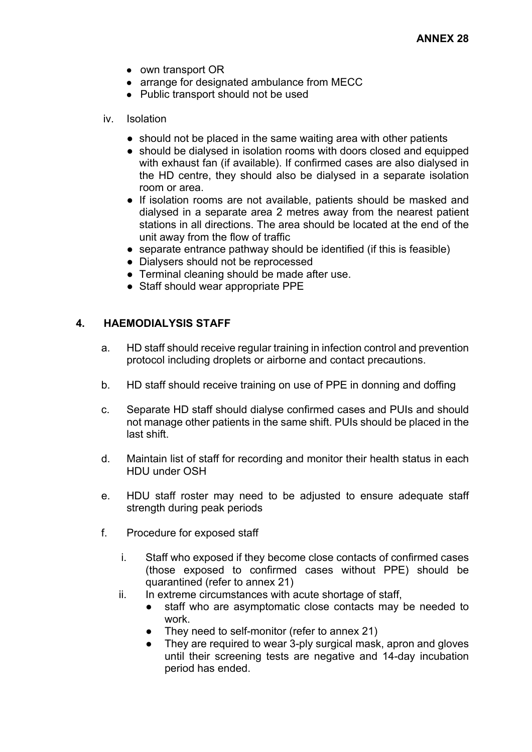- own transport OR
- arrange for designated ambulance from MECC
- Public transport should not be used
- iv. Isolation
	- should not be placed in the same waiting area with other patients
	- should be dialysed in isolation rooms with doors closed and equipped with exhaust fan (if available). If confirmed cases are also dialysed in the HD centre, they should also be dialysed in a separate isolation room or area.
	- If isolation rooms are not available, patients should be masked and dialysed in a separate area 2 metres away from the nearest patient stations in all directions. The area should be located at the end of the unit away from the flow of traffic
	- separate entrance pathway should be identified (if this is feasible)
	- Dialysers should not be reprocessed
	- Terminal cleaning should be made after use.
	- Staff should wear appropriate PPE

#### **4. HAEMODIALYSIS STAFF**

- a. HD staff should receive regular training in infection control and prevention protocol including droplets or airborne and contact precautions.
- b. HD staff should receive training on use of PPE in donning and doffing
- c. Separate HD staff should dialyse confirmed cases and PUIs and should not manage other patients in the same shift. PUIs should be placed in the last shift.
- d. Maintain list of staff for recording and monitor their health status in each HDU under OSH
- e. HDU staff roster may need to be adjusted to ensure adequate staff strength during peak periods
- f. Procedure for exposed staff
	- i. Staff who exposed if they become close contacts of confirmed cases (those exposed to confirmed cases without PPE) should be quarantined (refer to annex 21)
	- ii. In extreme circumstances with acute shortage of staff.
		- staff who are asymptomatic close contacts may be needed to work.
		- They need to self-monitor (refer to annex 21)
		- They are required to wear 3-ply surgical mask, apron and gloves until their screening tests are negative and 14-day incubation period has ended.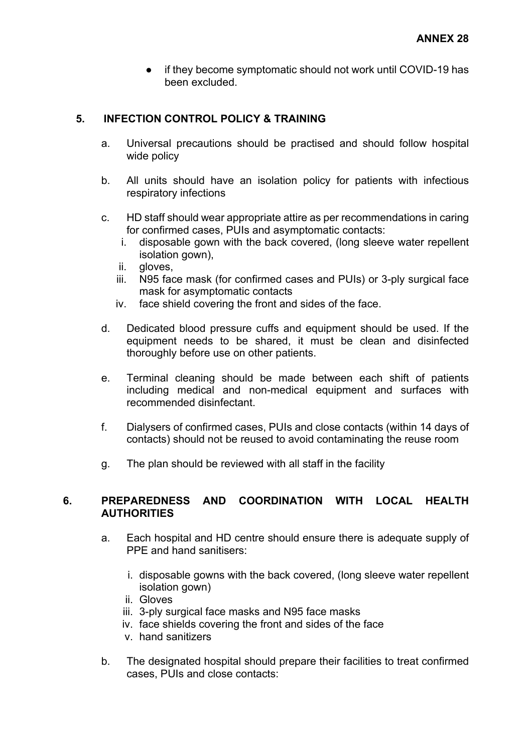● if they become symptomatic should not work until COVID-19 has been excluded.

### **5. INFECTION CONTROL POLICY & TRAINING**

- a. Universal precautions should be practised and should follow hospital wide policy
- b. All units should have an isolation policy for patients with infectious respiratory infections
- c. HD staff should wear appropriate attire as per recommendations in caring for confirmed cases, PUIs and asymptomatic contacts:
	- i. disposable gown with the back covered, (long sleeve water repellent isolation gown),
	- ii. gloves,
	- iii. N95 face mask (for confirmed cases and PUIs) or 3-ply surgical face mask for asymptomatic contacts
	- iv. face shield covering the front and sides of the face.
- d. Dedicated blood pressure cuffs and equipment should be used. If the equipment needs to be shared, it must be clean and disinfected thoroughly before use on other patients.
- e. Terminal cleaning should be made between each shift of patients including medical and non-medical equipment and surfaces with recommended disinfectant.
- f. Dialysers of confirmed cases, PUIs and close contacts (within 14 days of contacts) should not be reused to avoid contaminating the reuse room
- g. The plan should be reviewed with all staff in the facility

### **6. PREPAREDNESS AND COORDINATION WITH LOCAL HEALTH AUTHORITIES**

- a. Each hospital and HD centre should ensure there is adequate supply of PPE and hand sanitisers:
	- i. disposable gowns with the back covered, (long sleeve water repellent isolation gown)
	- ii. Gloves
	- iii. 3-ply surgical face masks and N95 face masks
	- iv. face shields covering the front and sides of the face
	- v. hand sanitizers
- b. The designated hospital should prepare their facilities to treat confirmed cases, PUIs and close contacts: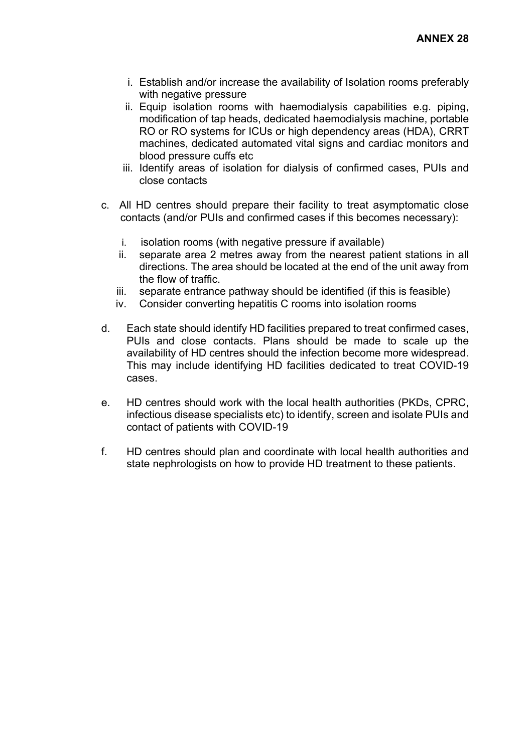- i. Establish and/or increase the availability of Isolation rooms preferably with negative pressure
- ii. Equip isolation rooms with haemodialysis capabilities e.g. piping, modification of tap heads, dedicated haemodialysis machine, portable RO or RO systems for ICUs or high dependency areas (HDA), CRRT machines, dedicated automated vital signs and cardiac monitors and blood pressure cuffs etc
- iii. Identify areas of isolation for dialysis of confirmed cases, PUIs and close contacts
- c. All HD centres should prepare their facility to treat asymptomatic close contacts (and/or PUIs and confirmed cases if this becomes necessary):
	- i. isolation rooms (with negative pressure if available)
	- ii. separate area 2 metres away from the nearest patient stations in all directions. The area should be located at the end of the unit away from the flow of traffic.
	- iii. separate entrance pathway should be identified (if this is feasible)
	- iv. Consider converting hepatitis C rooms into isolation rooms
- d. Each state should identify HD facilities prepared to treat confirmed cases, PUIs and close contacts. Plans should be made to scale up the availability of HD centres should the infection become more widespread. This may include identifying HD facilities dedicated to treat COVID-19 cases.
- e. HD centres should work with the local health authorities (PKDs, CPRC, infectious disease specialists etc) to identify, screen and isolate PUIs and contact of patients with COVID-19
- f. HD centres should plan and coordinate with local health authorities and state nephrologists on how to provide HD treatment to these patients.